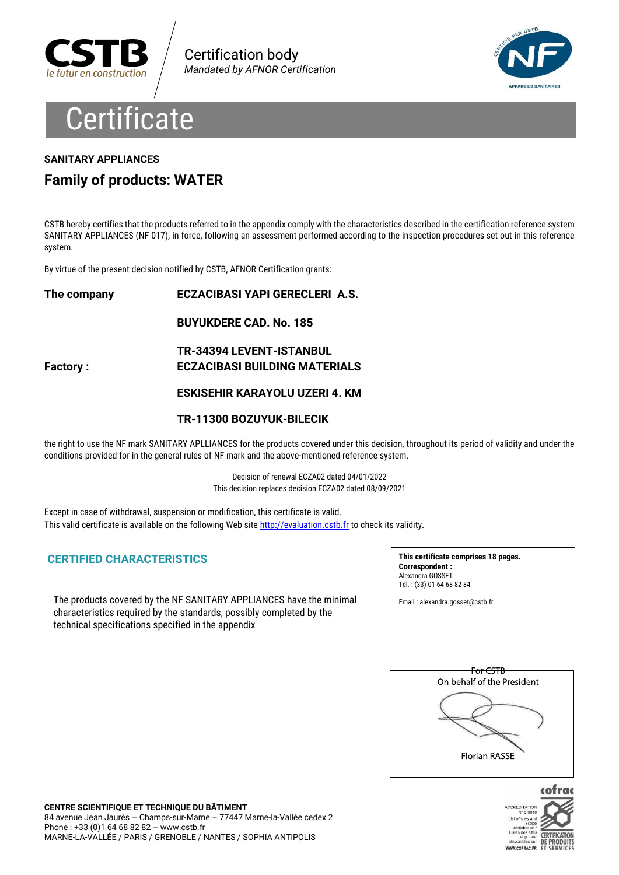



# **Certificate**

#### **SANITARY APPLIANCES**

### **Family of products: WATER**

CSTB hereby certifies that the products referred to in the appendix comply with the characteristics described in the certification reference system SANITARY APPLIANCES (NF 017), in force, following an assessment performed according to the inspection procedures set out in this reference system.

By virtue of the present decision notified by CSTB, AFNOR Certification grants:

**The company ECZACIBASI YAPI GERECLERI A.S. BUYUKDERE CAD. No. 185 TR-34394 LEVENT-ISTANBUL Factory : ECZACIBASI BUILDING MATERIALS ESKISEHIR KARAYOLU UZERI 4. KM TR-11300 BOZUYUK-BILECIK**

the right to use the NF mark SANITARY APLLIANCES for the products covered under this decision, throughout its period of validity and under the conditions provided for in the general rules of NF mark and the above-mentioned reference system.

> Decision of renewal ECZA02 dated 04/01/2022 This decision replaces decision ECZA02 dated 08/09/2021

Except in case of withdrawal, suspension or modification, this certificate is valid. This valid certificate is available on the following Web site http://evaluation.cstb.fr to check its validity.

#### **CERTIFIED CHARACTERISTICS**

The products covered by the NF SANITARY APPLIANCES have the minimal characteristics required by the standards, possibly completed by the technical specifications specified in the appendix

**This certificate comprises 18 pages. Correspondent :** Alexandra GOSSET Tél. : (33) 01 64 68 82 84

Email : alexandra.gosset@cstb.fr



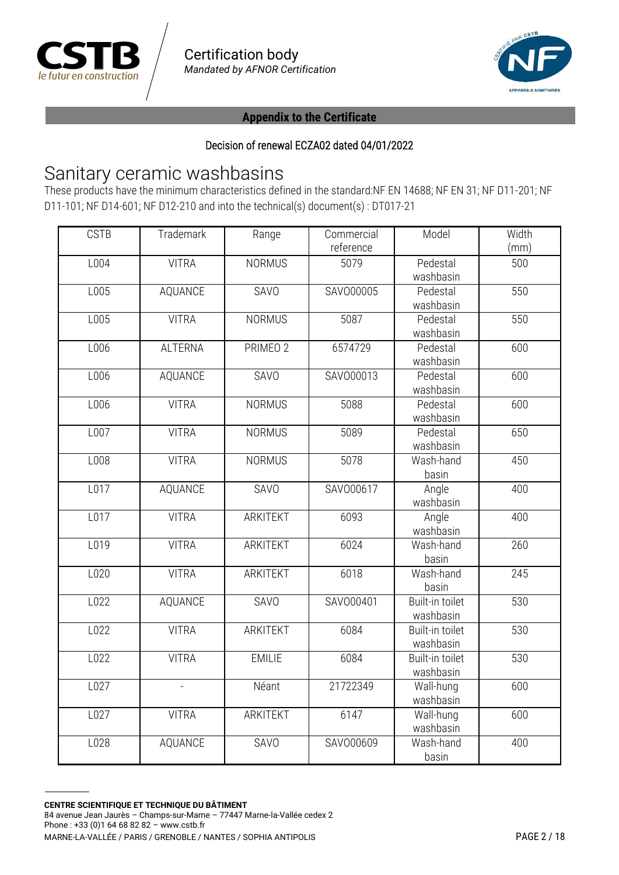



#### Decision of renewal ECZA02 dated 04/01/2022

# Sanitary ceramic washbasins

These products have the minimum characteristics defined in the standard:NF EN 14688; NF EN 31; NF D11-201; NF D11-101; NF D14-601; NF D12-210 and into the technical(s) document(s) : DT017-21

| <b>CSTB</b> | Trademark      | Range           | Commercial | Model           | Width |
|-------------|----------------|-----------------|------------|-----------------|-------|
|             |                |                 | reference  |                 | (mm)  |
| L004        | <b>VITRA</b>   | <b>NORMUS</b>   | 5079       | Pedestal        | 500   |
|             |                |                 |            | washbasin       |       |
| L005        | AQUANCE        | SAVO            | SAV000005  | Pedestal        | 550   |
|             |                |                 |            | washbasin       |       |
| L005        | <b>VITRA</b>   | <b>NORMUS</b>   | 5087       | Pedestal        | 550   |
|             |                |                 |            | washbasin       |       |
| L006        | <b>ALTERNA</b> | PRIMEO 2        | 6574729    | Pedestal        | 600   |
|             |                |                 |            | washbasin       |       |
| L006        | AQUANCE        | SAVO            | SAV000013  | Pedestal        | 600   |
|             |                |                 |            | washbasin       |       |
| L006        | <b>VITRA</b>   | <b>NORMUS</b>   | 5088       | Pedestal        | 600   |
|             |                |                 |            | washbasin       |       |
| L007        | <b>VITRA</b>   | <b>NORMUS</b>   | 5089       | Pedestal        | 650   |
|             |                |                 |            | washbasin       |       |
| L008        | <b>VITRA</b>   | <b>NORMUS</b>   | 5078       | Wash-hand       | 450   |
|             |                |                 |            | basin           |       |
| L017        | AQUANCE        | SAVO            | SAV000617  | Angle           | 400   |
|             |                |                 |            | washbasin       |       |
| L017        | <b>VITRA</b>   | ARKITEKT        | 6093       | Angle           | 400   |
|             |                |                 |            | washbasin       |       |
| L019        | <b>VITRA</b>   | <b>ARKITEKT</b> | 6024       | Wash-hand       | 260   |
|             |                |                 |            | basin           |       |
| L020        | <b>VITRA</b>   | ARKITEKT        | 6018       | Wash-hand       | 245   |
|             |                |                 |            | basin           |       |
| L022        | <b>AQUANCE</b> | <b>SAVO</b>     | SAV000401  | Built-in toilet | 530   |
|             |                |                 |            | washbasin       |       |
| L022        | <b>VITRA</b>   | ARKITEKT        | 6084       | Built-in toilet | 530   |
|             |                |                 |            | washbasin       |       |
| L022        | <b>VITRA</b>   | <b>EMILIE</b>   | 6084       | Built-in toilet | 530   |
|             |                |                 |            | washbasin       |       |
| L027        | $\overline{a}$ | Néant           | 21722349   | Wall-hung       | 600   |
|             |                |                 |            | washbasin       |       |
| L027        | <b>VITRA</b>   | ARKITEKT        | 6147       | Wall-hung       | 600   |
|             |                |                 |            | washbasin       |       |
| L028        | <b>AQUANCE</b> | SAVO            | SAV000609  | Wash-hand       | 400   |
|             |                |                 |            | basin           |       |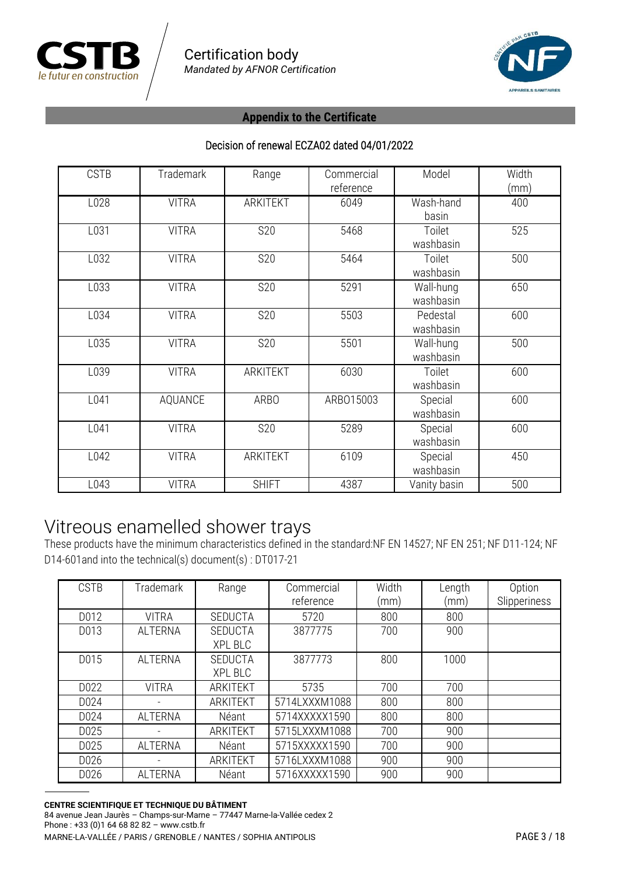



#### Decision of renewal ECZA02 dated 04/01/2022

| <b>CSTB</b> | <b>Trademark</b> | Range           | Commercial<br>reference | Model                  | Width<br>(mm) |
|-------------|------------------|-----------------|-------------------------|------------------------|---------------|
| L028        | <b>VITRA</b>     | <b>ARKITEKT</b> | 6049                    | Wash-hand<br>basin     | 400           |
| L031        | <b>VITRA</b>     | S20             | 5468                    | Toilet<br>washbasin    | 525           |
| L032        | <b>VITRA</b>     | <b>S20</b>      | 5464                    | Toilet<br>washbasin    | 500           |
| L033        | <b>VITRA</b>     | <b>S20</b>      | 5291                    | Wall-hung<br>washbasin | 650           |
| L034        | <b>VITRA</b>     | <b>S20</b>      | 5503                    | Pedestal<br>washbasin  | 600           |
| L035        | <b>VITRA</b>     | <b>S20</b>      | 5501                    | Wall-hung<br>washbasin | 500           |
| L039        | <b>VITRA</b>     | ARKITEKT        | 6030                    | Toilet<br>washbasin    | 600           |
| L041        | AQUANCE          | <b>ARBO</b>     | ARB015003               | Special<br>washbasin   | 600           |
| L041        | <b>VITRA</b>     | <b>S20</b>      | 5289                    | Special<br>washbasin   | 600           |
| L042        | <b>VITRA</b>     | ARKITEKT        | 6109                    | Special<br>washbasin   | 450           |
| L043        | <b>VITRA</b>     | <b>SHIFT</b>    | 4387                    | Vanity basin           | 500           |

# Vitreous enamelled shower trays

These products have the minimum characteristics defined in the standard:NF EN 14527; NF EN 251; NF D11-124; NF D14-601and into the technical(s) document(s) : DT017-21

| <b>CSTB</b> | <b>Trademark</b> | Range                            | Commercial<br>reference | Width<br>(mm) | Length<br>(mm) | Option<br>Slipperiness |
|-------------|------------------|----------------------------------|-------------------------|---------------|----------------|------------------------|
| D012        | <b>VITRA</b>     | <b>SEDUCTA</b>                   | 5720                    | 800           | 800            |                        |
| D013        | <b>ALTERNA</b>   | <b>SEDUCTA</b><br><b>XPL BLC</b> | 3877775                 | 700           | 900            |                        |
| D015        | <b>ALTERNA</b>   | <b>SEDUCTA</b><br>XPL BLC        | 3877773                 | 800           | 1000           |                        |
| D022        | <b>VITRA</b>     | <b>ARKITEKT</b>                  | 5735                    | 700           | 700            |                        |
| D024        |                  | <b>ARKITEKT</b>                  | 5714LXXXM1088           | 800           | 800            |                        |
| D024        | <b>ALTERNA</b>   | Néant                            | 5714XXXXX1590           | 800           | 800            |                        |
| D025        |                  | ARKITEKT                         | 5715LXXXM1088           | 700           | 900            |                        |
| D025        | <b>ALTERNA</b>   | Néant                            | 5715XXXXX1590           | 700           | 900            |                        |
| D026        |                  | ARKITEKT                         | 5716LXXXM1088           | 900           | 900            |                        |
| D026        | <b>ALTERNA</b>   | Néant                            | 5716XXXXX1590           | 900           | 900            |                        |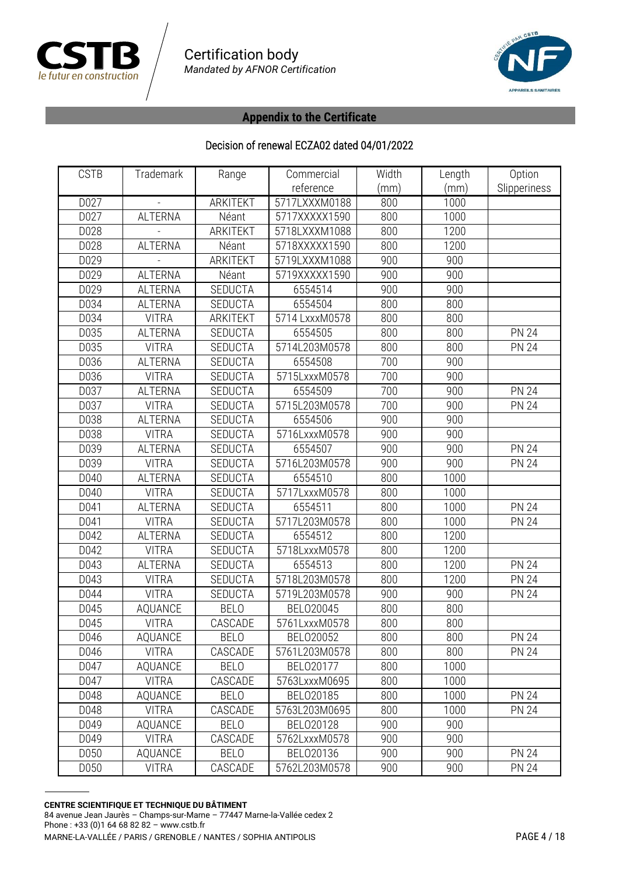



| <b>CSTB</b> | Trademark      | Range           | Commercial     | Width | Length | Option       |
|-------------|----------------|-----------------|----------------|-------|--------|--------------|
|             |                |                 | reference      | (mm)  | (mm)   | Slipperiness |
| D027        |                | <b>ARKITEKT</b> | 5717LXXXM0188  | 800   | 1000   |              |
| D027        | <b>ALTERNA</b> | Néant           | 5717XXXXX1590  | 800   | 1000   |              |
| D028        |                | <b>ARKITEKT</b> | 5718LXXXM1088  | 800   | 1200   |              |
| D028        | <b>ALTERNA</b> | Néant           | 5718XXXXX1590  | 800   | 1200   |              |
| D029        |                | <b>ARKITEKT</b> | 5719LXXXM1088  | 900   | 900    |              |
| D029        | <b>ALTERNA</b> | Néant           | 5719XXXXX1590  | 900   | 900    |              |
| D029        | <b>ALTERNA</b> | <b>SEDUCTA</b>  | 6554514        | 900   | 900    |              |
| D034        | <b>ALTERNA</b> | <b>SEDUCTA</b>  | 6554504        | 800   | 800    |              |
| D034        | <b>VITRA</b>   | ARKITEKT        | 5714 LxxxM0578 | 800   | 800    |              |
| D035        | <b>ALTERNA</b> | <b>SEDUCTA</b>  | 6554505        | 800   | 800    | <b>PN 24</b> |
| D035        | <b>VITRA</b>   | <b>SEDUCTA</b>  | 5714L203M0578  | 800   | 800    | <b>PN 24</b> |
| D036        | <b>ALTERNA</b> | <b>SEDUCTA</b>  | 6554508        | 700   | 900    |              |
| D036        | <b>VITRA</b>   | SEDUCTA         | 5715LxxxM0578  | 700   | 900    |              |
| D037        | <b>ALTERNA</b> | <b>SEDUCTA</b>  | 6554509        | 700   | 900    | <b>PN 24</b> |
| D037        | <b>VITRA</b>   | <b>SEDUCTA</b>  | 5715L203M0578  | 700   | 900    | <b>PN 24</b> |
| D038        | <b>ALTERNA</b> | <b>SEDUCTA</b>  | 6554506        | 900   | 900    |              |
| D038        | <b>VITRA</b>   | <b>SEDUCTA</b>  | 5716LxxxM0578  | 900   | 900    |              |
| D039        | <b>ALTERNA</b> | <b>SEDUCTA</b>  | 6554507        | 900   | 900    | <b>PN 24</b> |
| D039        | <b>VITRA</b>   | SEDUCTA         | 5716L203M0578  | 900   | 900    | <b>PN 24</b> |
| D040        | <b>ALTERNA</b> | <b>SEDUCTA</b>  | 6554510        | 800   | 1000   |              |
| D040        | <b>VITRA</b>   | <b>SEDUCTA</b>  | 5717LxxxM0578  | 800   | 1000   |              |
| D041        | <b>ALTERNA</b> | <b>SEDUCTA</b>  | 6554511        | 800   | 1000   | <b>PN 24</b> |
| D041        | <b>VITRA</b>   | <b>SEDUCTA</b>  | 5717L203M0578  | 800   | 1000   | <b>PN 24</b> |
| D042        | <b>ALTERNA</b> | SEDUCTA         | 6554512        | 800   | 1200   |              |
| D042        | <b>VITRA</b>   | SEDUCTA         | 5718LxxxM0578  | 800   | 1200   |              |
| D043        | <b>ALTERNA</b> | <b>SEDUCTA</b>  | 6554513        | 800   | 1200   | <b>PN 24</b> |
| D043        | <b>VITRA</b>   | SEDUCTA         | 5718L203M0578  | 800   | 1200   | <b>PN 24</b> |
| D044        | <b>VITRA</b>   | <b>SEDUCTA</b>  | 5719L203M0578  | 900   | 900    | <b>PN 24</b> |
| D045        | AQUANCE        | <b>BELO</b>     | BEL020045      | 800   | 800    |              |
| D045        | <b>VITRA</b>   | CASCADE         | 5761LxxxM0578  | 800   | 800    |              |
| D046        | AQUANCE        | <b>BELO</b>     | BEL020052      | 800   | 800    | <b>PN 24</b> |
| D046        | <b>VITRA</b>   | CASCADE         | 5761L203M0578  | 800   | 800    | <b>PN 24</b> |
| D047        | AQUANCE        | <b>BELO</b>     | BEL020177      | 800   | 1000   |              |
| D047        | <b>VITRA</b>   | CASCADE         | 5763LxxxM0695  | 800   | 1000   |              |
| D048        | AQUANCE        | <b>BELO</b>     | BEL020185      | 800   | 1000   | <b>PN 24</b> |
| D048        | <b>VITRA</b>   | CASCADE         | 5763L203M0695  | 800   | 1000   | <b>PN 24</b> |
| D049        | AQUANCE        | <b>BELO</b>     | BEL020128      | 900   | 900    |              |
| D049        | <b>VITRA</b>   | CASCADE         | 5762LxxxM0578  | 900   | 900    |              |
| D050        | AQUANCE        | <b>BELO</b>     | BEL020136      | 900   | 900    | <b>PN 24</b> |
| D050        | <b>VITRA</b>   | CASCADE         | 5762L203M0578  | 900   | 900    | <b>PN 24</b> |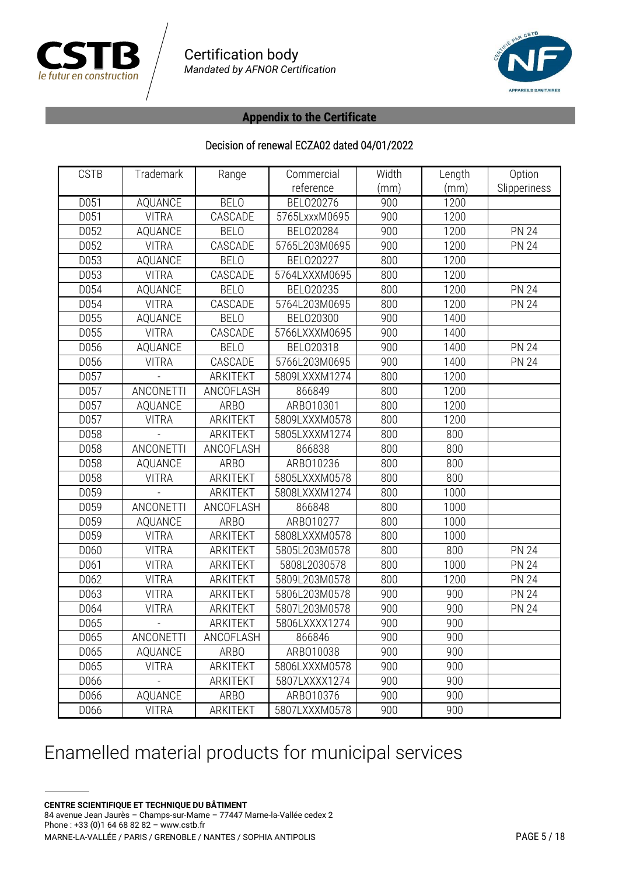



#### Decision of renewal ECZA02 dated 04/01/2022

| <b>CSTB</b> | Trademark        | Range           | Commercial    | Width | Length | Option       |
|-------------|------------------|-----------------|---------------|-------|--------|--------------|
|             |                  |                 | reference     | (mm)  | (mm)   | Slipperiness |
| D051        | AQUANCE          | <b>BELO</b>     | BEL020276     | 900   | 1200   |              |
| D051        | <b>VITRA</b>     | CASCADE         | 5765LxxxM0695 | 900   | 1200   |              |
| D052        | AQUANCE          | <b>BELO</b>     | BEL020284     | 900   | 1200   | <b>PN 24</b> |
| D052        | <b>VITRA</b>     | CASCADE         | 5765L203M0695 | 900   | 1200   | <b>PN 24</b> |
| D053        | AQUANCE          | <b>BELO</b>     | BEL020227     | 800   | 1200   |              |
| D053        | <b>VITRA</b>     | CASCADE         | 5764LXXXM0695 | 800   | 1200   |              |
| D054        | AQUANCE          | <b>BELO</b>     | BEL020235     | 800   | 1200   | <b>PN 24</b> |
| D054        | <b>VITRA</b>     | CASCADE         | 5764L203M0695 | 800   | 1200   | <b>PN 24</b> |
| D055        | AQUANCE          | <b>BELO</b>     | BEL020300     | 900   | 1400   |              |
| D055        | <b>VITRA</b>     | CASCADE         | 5766LXXXM0695 | 900   | 1400   |              |
| D056        | AQUANCE          | <b>BELO</b>     | BEL020318     | 900   | 1400   | <b>PN 24</b> |
| D056        | <b>VITRA</b>     | CASCADE         | 5766L203M0695 | 900   | 1400   | <b>PN 24</b> |
| D057        |                  | <b>ARKITEKT</b> | 5809LXXXM1274 | 800   | 1200   |              |
| D057        | ANCONETTI        | ANCOFLASH       | 866849        | 800   | 1200   |              |
| D057        | AQUANCE          | <b>ARBO</b>     | ARB010301     | 800   | 1200   |              |
| D057        | <b>VITRA</b>     | <b>ARKITEKT</b> | 5809LXXXM0578 | 800   | 1200   |              |
| D058        |                  | <b>ARKITEKT</b> | 5805LXXXM1274 | 800   | 800    |              |
| D058        | <b>ANCONETTI</b> | ANCOFLASH       | 866838        | 800   | 800    |              |
| D058        | AQUANCE          | <b>ARBO</b>     | ARB010236     | 800   | 800    |              |
| D058        | <b>VITRA</b>     | <b>ARKITEKT</b> | 5805LXXXM0578 | 800   | 800    |              |
| D059        |                  | <b>ARKITEKT</b> | 5808LXXXM1274 | 800   | 1000   |              |
| D059        | ANCONETTI        | ANCOFLASH       | 866848        | 800   | 1000   |              |
| D059        | AQUANCE          | <b>ARBO</b>     | ARB010277     | 800   | 1000   |              |
| D059        | <b>VITRA</b>     | <b>ARKITEKT</b> | 5808LXXXM0578 | 800   | 1000   |              |
| D060        | <b>VITRA</b>     | ARKITEKT        | 5805L203M0578 | 800   | 800    | <b>PN 24</b> |
| D061        | <b>VITRA</b>     | <b>ARKITEKT</b> | 5808L2030578  | 800   | 1000   | <b>PN 24</b> |
| D062        | <b>VITRA</b>     | ARKITEKT        | 5809L203M0578 | 800   | 1200   | <b>PN 24</b> |
| D063        | <b>VITRA</b>     | <b>ARKITEKT</b> | 5806L203M0578 | 900   | 900    | <b>PN 24</b> |
| D064        | <b>VITRA</b>     | ARKITEKT        | 5807L203M0578 | 900   | 900    | <b>PN 24</b> |
| D065        |                  | <b>ARKITEKT</b> | 5806LXXXX1274 | 900   | 900    |              |
| D065        | ANCONETTI        | ANCOFLASH       | 866846        | 900   | 900    |              |
| D065        | AQUANCE          | <b>ARBO</b>     | ARB010038     | 900   | 900    |              |
| D065        | <b>VITRA</b>     | ARKITEKT        | 5806LXXXM0578 | 900   | 900    |              |
| D066        |                  | ARKITEKT        | 5807LXXXX1274 | 900   | 900    |              |
| D066        | AQUANCE          | <b>ARBO</b>     | ARB010376     | 900   | 900    |              |
| D066        | <b>VITRA</b>     | ARKITEKT        | 5807LXXXM0578 | 900   | 900    |              |

# Enamelled material products for municipal services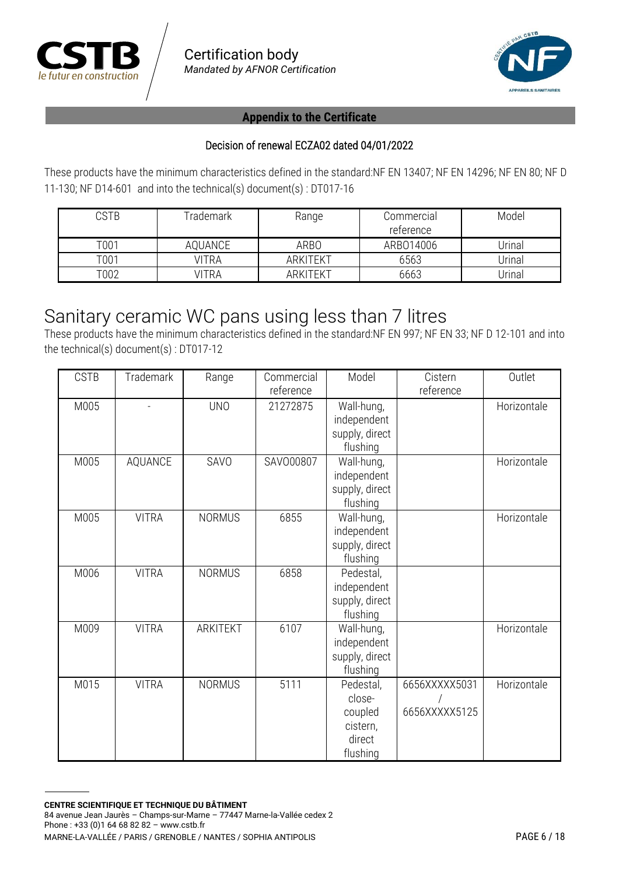



#### Decision of renewal ECZA02 dated 04/01/2022

These products have the minimum characteristics defined in the standard:NF EN 13407; NF EN 14296; NF EN 80; NF D 11-130; NF D14-601 and into the technical(s) document(s) : DT017-16

| CSTB | rademark | Range           | Commercial<br>reference | Model  |
|------|----------|-----------------|-------------------------|--------|
| T001 | AQUANCE  | ARBO            | ARB014006               | Jrinal |
| T001 | VITRA    | <b>ARKITEKT</b> | 6563                    | Jrinal |
| T002 | VITRA    | <b>ARKITEKT</b> | 6663                    | Jrinal |

# Sanitary ceramic WC pans using less than 7 litres

These products have the minimum characteristics defined in the standard:NF EN 997; NF EN 33; NF D 12-101 and into the technical(s) document(s) : DT017-12

| <b>CSTB</b> | <b>Trademark</b> | Range         | Commercial<br>reference | Model                                                            | Cistern<br>reference           | Outlet      |
|-------------|------------------|---------------|-------------------------|------------------------------------------------------------------|--------------------------------|-------------|
| M005        |                  | <b>UNO</b>    | 21272875                | Wall-hung,<br>independent<br>supply, direct<br>flushing          |                                | Horizontale |
| M005        | AQUANCE          | SAVO          | SAV000807               | Wall-hung,<br>independent<br>supply, direct<br>flushing          |                                | Horizontale |
| M005        | <b>VITRA</b>     | <b>NORMUS</b> | 6855                    | Wall-hung,<br>independent<br>supply, direct<br>flushing          |                                | Horizontale |
| M006        | <b>VITRA</b>     | <b>NORMUS</b> | 6858                    | Pedestal,<br>independent<br>supply, direct<br>flushing           |                                |             |
| M009        | <b>VITRA</b>     | ARKITEKT      | 6107                    | Wall-hung,<br>independent<br>supply, direct<br>flushing          |                                | Horizontale |
| M015        | <b>VITRA</b>     | <b>NORMUS</b> | 5111                    | Pedestal,<br>close-<br>coupled<br>cistern,<br>direct<br>flushing | 6656XXXXX5031<br>6656XXXXX5125 | Horizontale |

**CENTRE SCIENTIFIQUE ET TECHNIQUE DU BÂTIMENT** 84 avenue Jean Jaurès – Champs-sur-Marne – 77447 Marne-la-Vallée cedex 2 Phone : +33 (0)1 64 68 82 82 – www.cstb.fr MARNE-LA-VALLÉE / PARIS / GRENOBLE / NANTES / SOPHIA ANTIPOLIS PAGE 6 / 18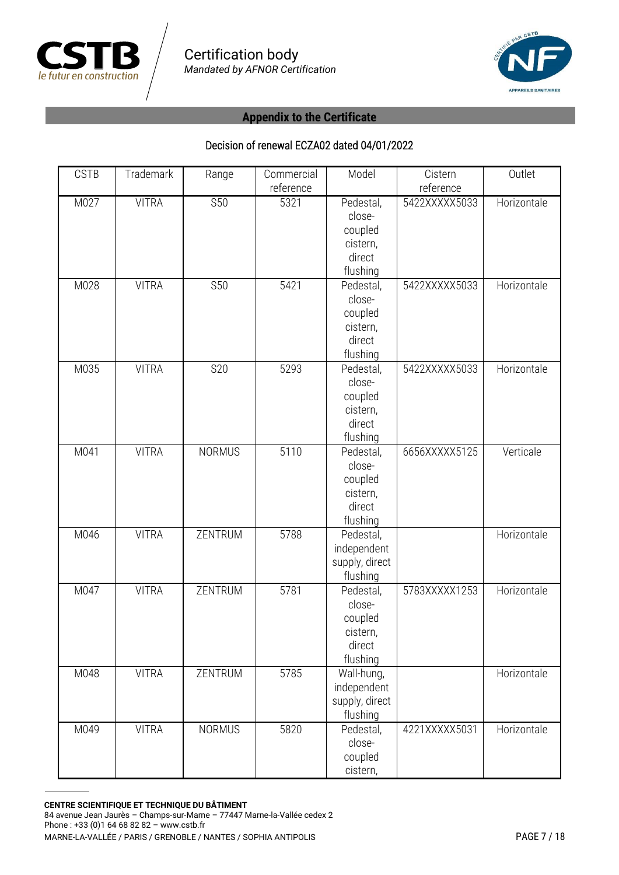



| <b>CSTB</b> | Trademark    | Range         | Commercial | Model          | Cistern       | Outlet      |
|-------------|--------------|---------------|------------|----------------|---------------|-------------|
|             |              |               | reference  |                | reference     |             |
| M027        | <b>VITRA</b> | <b>S50</b>    | 5321       | Pedestal,      | 5422XXXXX5033 | Horizontale |
|             |              |               |            | close-         |               |             |
|             |              |               |            | coupled        |               |             |
|             |              |               |            | cistern,       |               |             |
|             |              |               |            | direct         |               |             |
|             |              |               |            | flushing       |               |             |
| M028        | <b>VITRA</b> | <b>S50</b>    | 5421       | Pedestal,      | 5422XXXXX5033 | Horizontale |
|             |              |               |            | close-         |               |             |
|             |              |               |            | coupled        |               |             |
|             |              |               |            | cistern,       |               |             |
|             |              |               |            | direct         |               |             |
|             |              |               |            | flushing       |               |             |
| M035        | <b>VITRA</b> | <b>S20</b>    | 5293       | Pedestal,      | 5422XXXXX5033 | Horizontale |
|             |              |               |            | close-         |               |             |
|             |              |               |            | coupled        |               |             |
|             |              |               |            | cistern,       |               |             |
|             |              |               |            | direct         |               |             |
|             |              |               |            | flushing       |               |             |
| M041        | <b>VITRA</b> | <b>NORMUS</b> | 5110       | Pedestal,      | 6656XXXXX5125 | Verticale   |
|             |              |               |            | close-         |               |             |
|             |              |               |            | coupled        |               |             |
|             |              |               |            | cistern,       |               |             |
|             |              |               |            | direct         |               |             |
|             |              |               |            | flushing       |               |             |
| M046        | <b>VITRA</b> | ZENTRUM       | 5788       | Pedestal,      |               | Horizontale |
|             |              |               |            | independent    |               |             |
|             |              |               |            | supply, direct |               |             |
|             |              |               |            | flushing       |               |             |
| M047        | <b>VITRA</b> | ZENTRUM       | 5781       | Pedestal,      | 5783XXXXX1253 | Horizontale |
|             |              |               |            | close-         |               |             |
|             |              |               |            | coupled        |               |             |
|             |              |               |            | cistern,       |               |             |
|             |              |               |            | direct         |               |             |
|             |              |               |            | flushing       |               |             |
| M048        | <b>VITRA</b> | ZENTRUM       | 5785       | Wall-hung,     |               | Horizontale |
|             |              |               |            | independent    |               |             |
|             |              |               |            | supply, direct |               |             |
|             |              |               |            | flushing       |               |             |
| M049        | <b>VITRA</b> | <b>NORMUS</b> | 5820       | Pedestal,      | 4221XXXXX5031 | Horizontale |
|             |              |               |            | close-         |               |             |
|             |              |               |            | coupled        |               |             |
|             |              |               |            | cistern,       |               |             |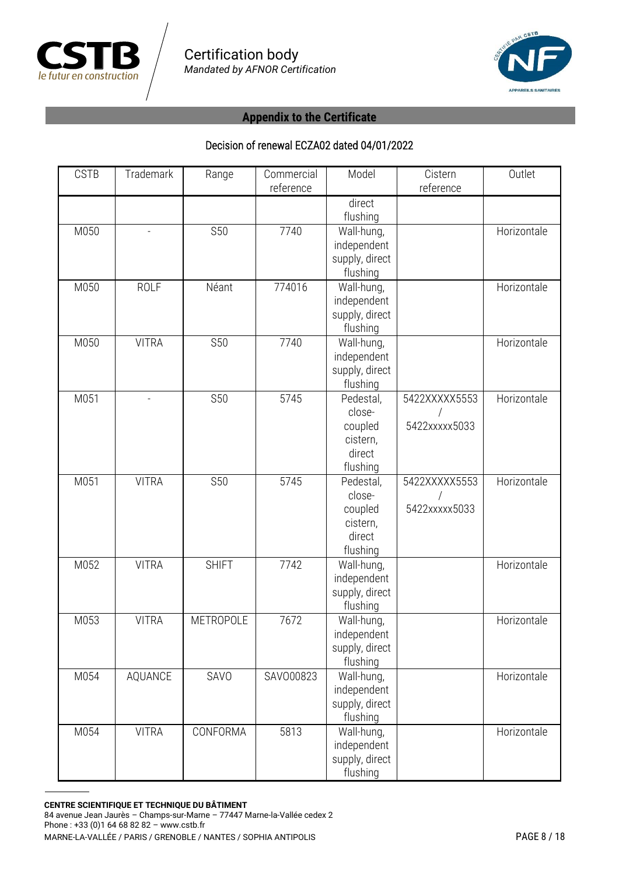



| <b>CSTB</b> | Trademark                | Range        | Commercial<br>reference | Model                                                            | Cistern<br>reference           | Outlet      |
|-------------|--------------------------|--------------|-------------------------|------------------------------------------------------------------|--------------------------------|-------------|
|             |                          |              |                         | direct<br>flushing                                               |                                |             |
| M050        | $\overline{\phantom{a}}$ | <b>S50</b>   | 7740                    | Wall-hung,<br>independent<br>supply, direct<br>flushing          |                                | Horizontale |
| M050        | <b>ROLF</b>              | Néant        | 774016                  | Wall-hung,<br>independent<br>supply, direct<br>flushing          |                                | Horizontale |
| M050        | <b>VITRA</b>             | <b>S50</b>   | 7740                    | Wall-hung,<br>independent<br>supply, direct<br>flushing          |                                | Horizontale |
| M051        | $\equiv$                 | <b>S50</b>   | 5745                    | Pedestal,<br>close-<br>coupled<br>cistern,<br>direct<br>flushing | 5422XXXXX5553<br>5422xxxxx5033 | Horizontale |
| M051        | <b>VITRA</b>             | <b>S50</b>   | $\frac{1}{5745}$        | Pedestal,<br>close-<br>coupled<br>cistern,<br>direct<br>flushing | 5422XXXXX5553<br>5422xxxxx5033 | Horizontale |
| M052        | <b>VITRA</b>             | <b>SHIFT</b> | 7742                    | Wall-hung,<br>independent<br>supply, direct<br>flushing          |                                | Horizontale |
| M053        | <b>VITRA</b>             | METROPOLE    | 7672                    | Wall-hung,<br>independent<br>supply, direct<br>flushing          |                                | Horizontale |
| M054        | AQUANCE                  | SAVO         | SAV000823               | Wall-hung,<br>independent<br>supply, direct<br>flushing          |                                | Horizontale |
| M054        | <b>VITRA</b>             | CONFORMA     | 5813                    | Wall-hung,<br>independent<br>supply, direct<br>flushing          |                                | Horizontale |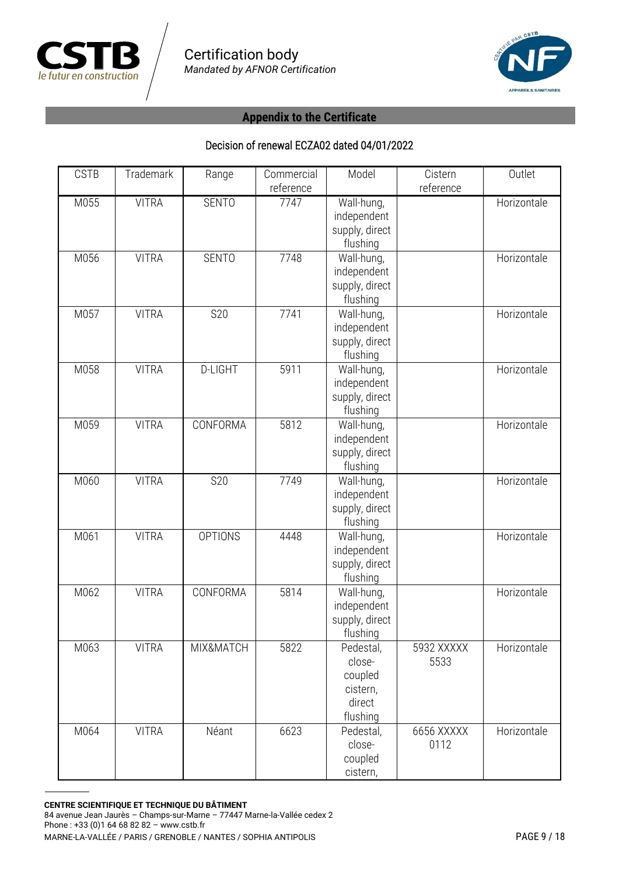



| <b>CSTB</b> | Trademark    | Range          | Commercial        | Model          | Cistern    | Outlet      |
|-------------|--------------|----------------|-------------------|----------------|------------|-------------|
| M055        | <b>VITRA</b> | <b>SENTO</b>   | reference<br>7747 | Wall-hung,     | reference  | Horizontale |
|             |              |                |                   | independent    |            |             |
|             |              |                |                   | supply, direct |            |             |
|             |              |                |                   | flushing       |            |             |
| M056        | <b>VITRA</b> | <b>SENTO</b>   | 7748              | Wall-hung,     |            | Horizontale |
|             |              |                |                   | independent    |            |             |
|             |              |                |                   | supply, direct |            |             |
|             |              |                |                   | flushing       |            |             |
| M057        | <b>VITRA</b> | <b>S20</b>     | 7741              | Wall-hung,     |            | Horizontale |
|             |              |                |                   | independent    |            |             |
|             |              |                |                   | supply, direct |            |             |
|             |              |                |                   | flushing       |            |             |
| M058        | <b>VITRA</b> | <b>D-LIGHT</b> | 5911              | Wall-hung,     |            | Horizontale |
|             |              |                |                   | independent    |            |             |
|             |              |                |                   | supply, direct |            |             |
|             |              |                |                   | flushing       |            |             |
| M059        | <b>VITRA</b> | CONFORMA       | 5812              | Wall-hung,     |            | Horizontale |
|             |              |                |                   | independent    |            |             |
|             |              |                |                   | supply, direct |            |             |
|             |              |                |                   | flushing       |            |             |
| M060        | <b>VITRA</b> | <b>S20</b>     | 7749              | Wall-hung,     |            | Horizontale |
|             |              |                |                   | independent    |            |             |
|             |              |                |                   | supply, direct |            |             |
|             |              |                |                   | flushing       |            |             |
| M061        | <b>VITRA</b> | <b>OPTIONS</b> | 4448              | Wall-hung,     |            | Horizontale |
|             |              |                |                   | independent    |            |             |
|             |              |                |                   | supply, direct |            |             |
|             |              |                |                   | flushing       |            |             |
| M062        | <b>VITRA</b> | CONFORMA       | 5814              | Wall-hung,     |            | Horizontale |
|             |              |                |                   | independent    |            |             |
|             |              |                |                   | supply, direct |            |             |
|             |              |                |                   | flushing       |            |             |
| M063        | <b>VITRA</b> | MIX&MATCH      | 5822              | Pedestal,      | 5932 XXXXX | Horizontale |
|             |              |                |                   | close-         | 5533       |             |
|             |              |                |                   | coupled        |            |             |
|             |              |                |                   | cistern,       |            |             |
|             |              |                |                   | direct         |            |             |
|             |              |                |                   | flushing       |            |             |
| M064        | <b>VITRA</b> | Néant          | 6623              | Pedestal,      | 6656 XXXXX | Horizontale |
|             |              |                |                   | close-         | 0112       |             |
|             |              |                |                   | coupled        |            |             |
|             |              |                |                   | cistern,       |            |             |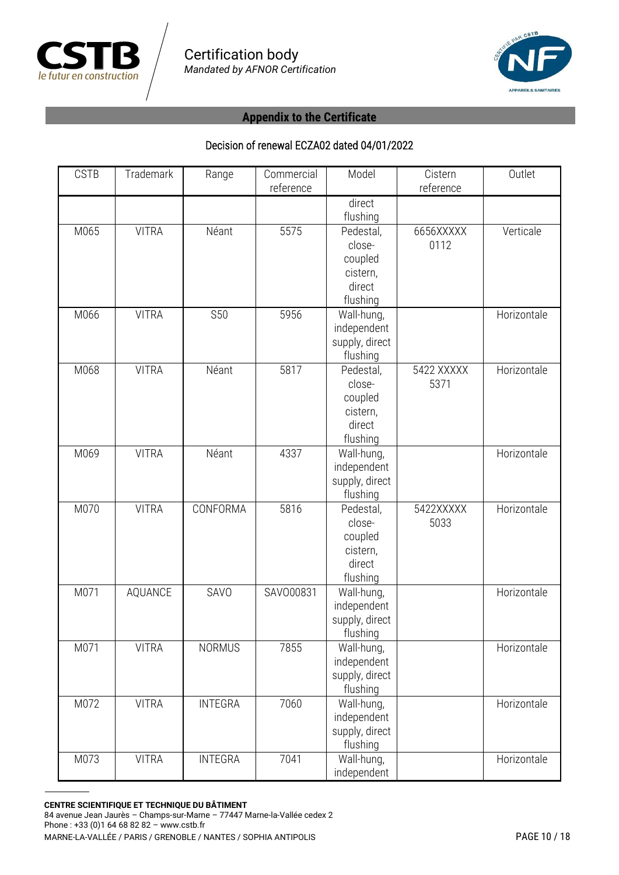



| <b>CSTB</b> | Trademark    | Range          | Commercial<br>reference | Model                                                            | Cistern<br>reference | Outlet      |
|-------------|--------------|----------------|-------------------------|------------------------------------------------------------------|----------------------|-------------|
|             |              |                |                         | direct<br>flushing                                               |                      |             |
| M065        | <b>VITRA</b> | Néant          | 5575                    | Pedestal,<br>close-<br>coupled<br>cistern,<br>direct<br>flushing | 6656XXXXX<br>0112    | Verticale   |
| M066        | <b>VITRA</b> | <b>S50</b>     | 5956                    | Wall-hung,<br>independent<br>supply, direct<br>flushing          |                      | Horizontale |
| M068        | <b>VITRA</b> | Néant          | 5817                    | Pedestal,<br>close-<br>coupled<br>cistern,<br>direct<br>flushing | 5422 XXXXX<br>5371   | Horizontale |
| M069        | <b>VITRA</b> | Néant          | 4337                    | Wall-hung,<br>independent<br>supply, direct<br>flushing          |                      | Horizontale |
| M070        | <b>VITRA</b> | CONFORMA       | 5816                    | Pedestal,<br>close-<br>coupled<br>cistern,<br>direct<br>flushing | 5422XXXXX<br>5033    | Horizontale |
| M071        | AQUANCE      | SAVO           | SAV000831               | Wall-hung,<br>independent<br>supply, direct<br>flushing          |                      | Horizontale |
| M071        | <b>VITRA</b> | <b>NORMUS</b>  | 7855                    | Wall-hung,<br>independent<br>supply, direct<br>flushing          |                      | Horizontale |
| M072        | <b>VITRA</b> | <b>INTEGRA</b> | 7060                    | Wall-hung,<br>independent<br>supply, direct<br>flushing          |                      | Horizontale |
| M073        | <b>VITRA</b> | <b>INTEGRA</b> | 7041                    | Wall-hung,<br>independent                                        |                      | Horizontale |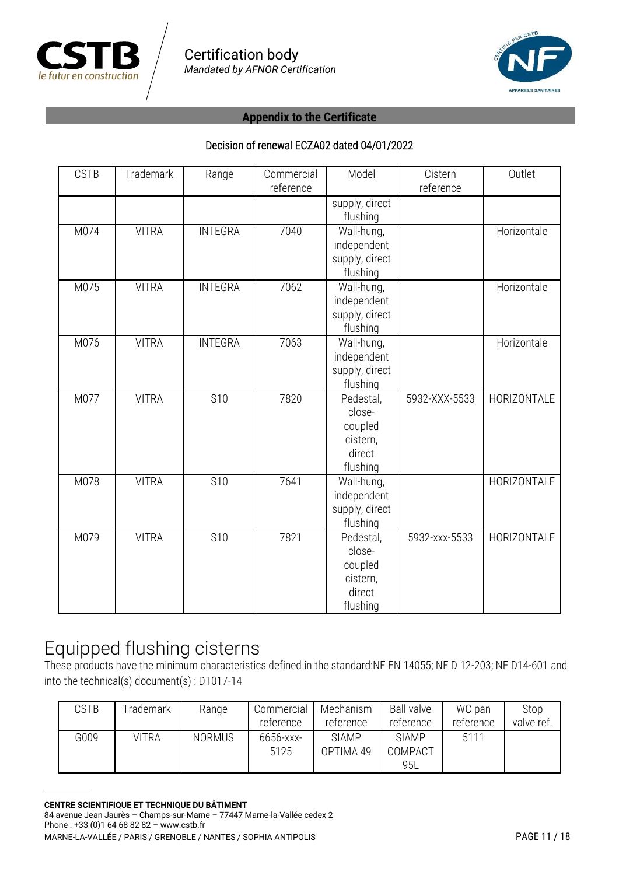



#### Decision of renewal ECZA02 dated 04/01/2022

| <b>CSTB</b> | Trademark    | Range          | Commercial<br>reference | Model                                                            | Cistern<br>reference | Outlet      |
|-------------|--------------|----------------|-------------------------|------------------------------------------------------------------|----------------------|-------------|
|             |              |                |                         | supply, direct<br>flushing                                       |                      |             |
| M074        | <b>VITRA</b> | <b>INTEGRA</b> | 7040                    | Wall-hung,<br>independent<br>supply, direct<br>flushing          |                      | Horizontale |
| M075        | <b>VITRA</b> | <b>INTEGRA</b> | 7062                    | Wall-hung,<br>independent<br>supply, direct<br>flushing          |                      | Horizontale |
| M076        | <b>VITRA</b> | <b>INTEGRA</b> | 7063                    | Wall-hung,<br>independent<br>supply, direct<br>flushing          |                      | Horizontale |
| M077        | <b>VITRA</b> | <b>S10</b>     | 7820                    | Pedestal,<br>close-<br>coupled<br>cistern,<br>direct<br>flushing | 5932-XXX-5533        | HORIZONTALE |
| M078        | <b>VITRA</b> | <b>S10</b>     | 7641                    | Wall-hung,<br>independent<br>supply, direct<br>flushing          |                      | HORIZONTALE |
| M079        | <b>VITRA</b> | <b>S10</b>     | 7821                    | Pedestal,<br>close-<br>coupled<br>cistern,<br>direct<br>flushing | 5932-xxx-5533        | HORIZONTALE |

# Equipped flushing cisterns

These products have the minimum characteristics defined in the standard:NF EN 14055; NF D 12-203; NF D14-601 and into the technical(s) document(s) : DT017-14

| CSTB | rademark | Range         | Commercial<br>reference | Mechanism<br>reference    | <b>Ball valve</b><br>reference | WC pan<br>reference | Stop<br>valve ref. |
|------|----------|---------------|-------------------------|---------------------------|--------------------------------|---------------------|--------------------|
| G009 | VITRA    | <b>NORMUS</b> | 6656-xxx-<br>5125       | <b>SIAMP</b><br>OPTIMA 49 | <b>SIAMP</b><br>COMPACT<br>95L | 5111                |                    |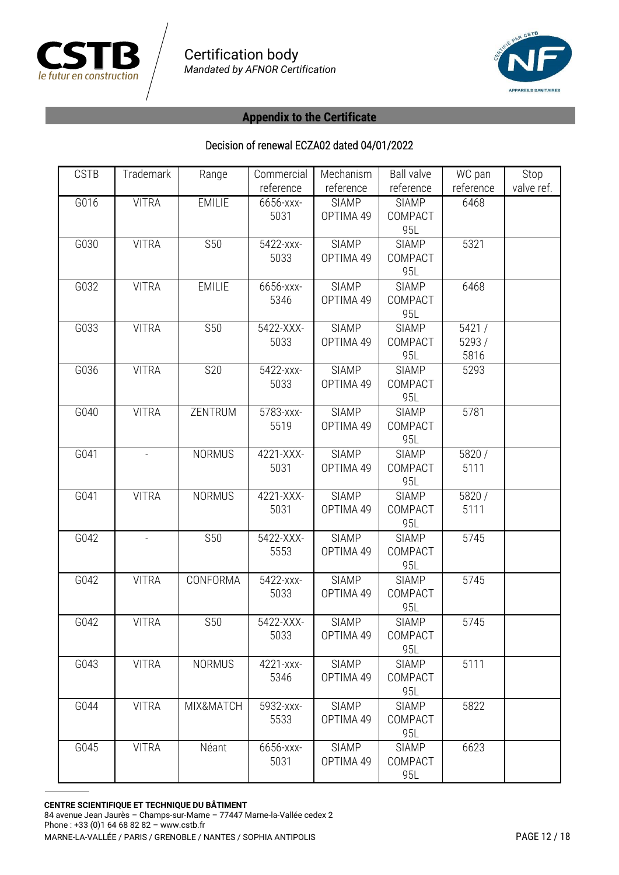



| <b>CSTB</b> | Trademark    | Range         | Commercial | Mechanism    | <b>Ball valve</b> | WC pan    | Stop       |
|-------------|--------------|---------------|------------|--------------|-------------------|-----------|------------|
|             |              |               | reference  | reference    | reference         | reference | valve ref. |
| G016        | <b>VITRA</b> | <b>EMILIE</b> | 6656-xxx-  | <b>SIAMP</b> | <b>SIAMP</b>      | 6468      |            |
|             |              |               | 5031       | OPTIMA 49    | COMPACT           |           |            |
|             |              |               |            |              | 95L               |           |            |
| G030        | <b>VITRA</b> | <b>S50</b>    | 5422-xxx-  | <b>SIAMP</b> | <b>SIAMP</b>      | 5321      |            |
|             |              |               | 5033       | OPTIMA 49    | COMPACT           |           |            |
|             |              |               |            |              | 95L               |           |            |
| G032        | <b>VITRA</b> | <b>EMILIE</b> | 6656-xxx-  | <b>SIAMP</b> | <b>SIAMP</b>      | 6468      |            |
|             |              |               | 5346       | OPTIMA 49    | COMPACT           |           |            |
|             |              |               |            |              | 95L               |           |            |
| G033        | <b>VITRA</b> | <b>S50</b>    | 5422-XXX-  | <b>SIAMP</b> | <b>SIAMP</b>      | 5421/     |            |
|             |              |               | 5033       | OPTIMA 49    | COMPACT           | 5293 /    |            |
|             |              |               |            |              | 95L               | 5816      |            |
| G036        | <b>VITRA</b> | <b>S20</b>    | 5422-xxx-  | <b>SIAMP</b> | <b>SIAMP</b>      | 5293      |            |
|             |              |               | 5033       | OPTIMA 49    | COMPACT           |           |            |
|             |              |               |            |              | 95L               |           |            |
| G040        | <b>VITRA</b> | ZENTRUM       | 5783-xxx-  | <b>SIAMP</b> | <b>SIAMP</b>      | 5781      |            |
|             |              |               | 5519       | OPTIMA 49    | COMPACT           |           |            |
|             |              |               |            |              | 95L               |           |            |
| G041        |              | <b>NORMUS</b> | 4221-XXX-  | <b>SIAMP</b> | <b>SIAMP</b>      | 5820 /    |            |
|             |              |               | 5031       | OPTIMA 49    | COMPACT           | 5111      |            |
|             |              |               |            |              | 95L               |           |            |
| G041        | <b>VITRA</b> | <b>NORMUS</b> | 4221-XXX-  | <b>SIAMP</b> | <b>SIAMP</b>      | 5820 /    |            |
|             |              |               | 5031       | OPTIMA 49    | COMPACT           | 5111      |            |
|             |              |               |            |              | 95L               |           |            |
| G042        |              | <b>S50</b>    | 5422-XXX-  | <b>SIAMP</b> | <b>SIAMP</b>      | 5745      |            |
|             |              |               | 5553       | OPTIMA 49    | COMPACT           |           |            |
|             |              |               |            |              | 95L               |           |            |
| G042        | <b>VITRA</b> | CONFORMA      | 5422-xxx-  | <b>SIAMP</b> | <b>SIAMP</b>      | 5745      |            |
|             |              |               | 5033       | OPTIMA 49    | COMPACT           |           |            |
|             |              |               |            |              | 95L               |           |            |
| G042        | <b>VITRA</b> | <b>S50</b>    | 5422-XXX-  | <b>SIAMP</b> | <b>SIAMP</b>      | 5745      |            |
|             |              |               | 5033       | OPTIMA 49    | COMPACT           |           |            |
|             |              |               |            |              | 95L               |           |            |
| G043        | <b>VITRA</b> | <b>NORMUS</b> | 4221-xxx-  | <b>SIAMP</b> | <b>SIAMP</b>      | 5111      |            |
|             |              |               | 5346       | OPTIMA 49    | COMPACT           |           |            |
|             |              |               |            |              | 95L               |           |            |
| G044        | <b>VITRA</b> | MIX&MATCH     | 5932-xxx-  | <b>SIAMP</b> | <b>SIAMP</b>      | 5822      |            |
|             |              |               | 5533       | OPTIMA 49    | COMPACT           |           |            |
|             |              |               |            |              | 95L               |           |            |
| G045        | <b>VITRA</b> | Néant         | 6656-xxx-  | <b>SIAMP</b> | <b>SIAMP</b>      | 6623      |            |
|             |              |               | 5031       | OPTIMA 49    | COMPACT           |           |            |
|             |              |               |            |              | 95L               |           |            |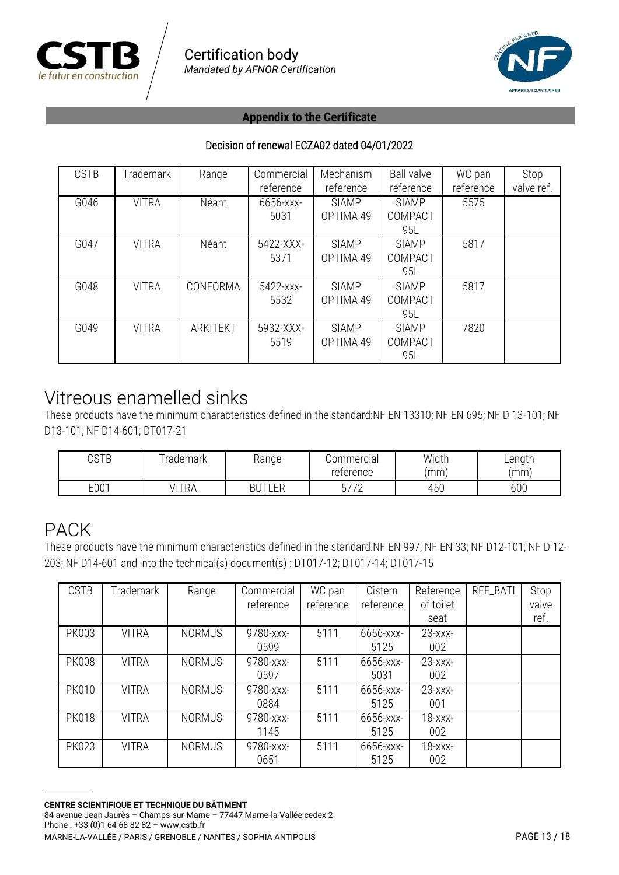



#### Decision of renewal ECZA02 dated 04/01/2022

| <b>CSTB</b> | Trademark    | Range    | Commercial<br>reference | Mechanism<br>reference    | <b>Ball valve</b><br>reference | WC pan<br>reference | Stop<br>valve ref. |
|-------------|--------------|----------|-------------------------|---------------------------|--------------------------------|---------------------|--------------------|
| G046        | <b>VITRA</b> | Néant    | 6656-xxx-<br>5031       | <b>SIAMP</b><br>OPTIMA 49 | <b>SIAMP</b><br>COMPACT<br>95L | 5575                |                    |
| G047        | <b>VITRA</b> | Néant    | 5422-XXX-<br>5371       | <b>SIAMP</b><br>OPTIMA 49 | <b>SIAMP</b><br>COMPACT<br>95L | 5817                |                    |
| G048        | <b>VITRA</b> | CONFORMA | 5422-xxx-<br>5532       | <b>SIAMP</b><br>OPTIMA 49 | <b>SIAMP</b><br>COMPACT<br>95L | 5817                |                    |
| G049        | <b>VITRA</b> | ARKITEKT | 5932-XXX-<br>5519       | <b>SIAMP</b><br>OPTIMA 49 | <b>SIAMP</b><br>COMPACT<br>95L | 7820                |                    |

### Vitreous enamelled sinks

These products have the minimum characteristics defined in the standard:NF EN 13310; NF EN 695; NF D 13-101; NF D13-101; NF D14-601; DT017-21

| ACTD<br>∪JID | rademark   | ≺anqe     | Commercial |     | ∟ength |
|--------------|------------|-----------|------------|-----|--------|
|              |            |           | reterence  | 'mm | mm     |
| E001         | IITD<br>℩⊢ | FЕ<br>ᄂᄂᆝ | ーフフロ<br>∸  | 450 | 600    |

### PACK

These products have the minimum characteristics defined in the standard:NF EN 997; NF EN 33; NF D12-101; NF D 12- 203; NF D14-601 and into the technical(s) document(s) : DT017-12; DT017-14; DT017-15

| <b>CSTB</b>  | Trademark    | Range         | Commercial<br>reference | WC pan<br>reference | Cistern<br>reference | Reference<br>of toilet<br>seat | REF_BATI | Stop<br>valve<br>ref. |
|--------------|--------------|---------------|-------------------------|---------------------|----------------------|--------------------------------|----------|-----------------------|
| <b>PK003</b> | <b>VITRA</b> | <b>NORMUS</b> | 9780-xxx-<br>0599       | 5111                | 6656-xxx-<br>5125    | $23 - XXX -$<br>002            |          |                       |
| <b>PK008</b> | <b>VITRA</b> | <b>NORMUS</b> | 9780-xxx-<br>0597       | 5111                | 6656-xxx-<br>5031    | $23 - XXX -$<br>002            |          |                       |
| <b>PK010</b> | <b>VITRA</b> | <b>NORMUS</b> | 9780-xxx-<br>0884       | 5111                | 6656-xxx-<br>5125    | $23  xx -$<br>001              |          |                       |
| <b>PK018</b> | <b>VITRA</b> | <b>NORMUS</b> | 9780-xxx-<br>1145       | 5111                | 6656-xxx-<br>5125    | $18 - XXX -$<br>002            |          |                       |
| <b>PK023</b> | <b>VITRA</b> | <b>NORMUS</b> | 9780-xxx-<br>0651       | 5111                | 6656-xxx-<br>5125    | $18 - XXX -$<br>002            |          |                       |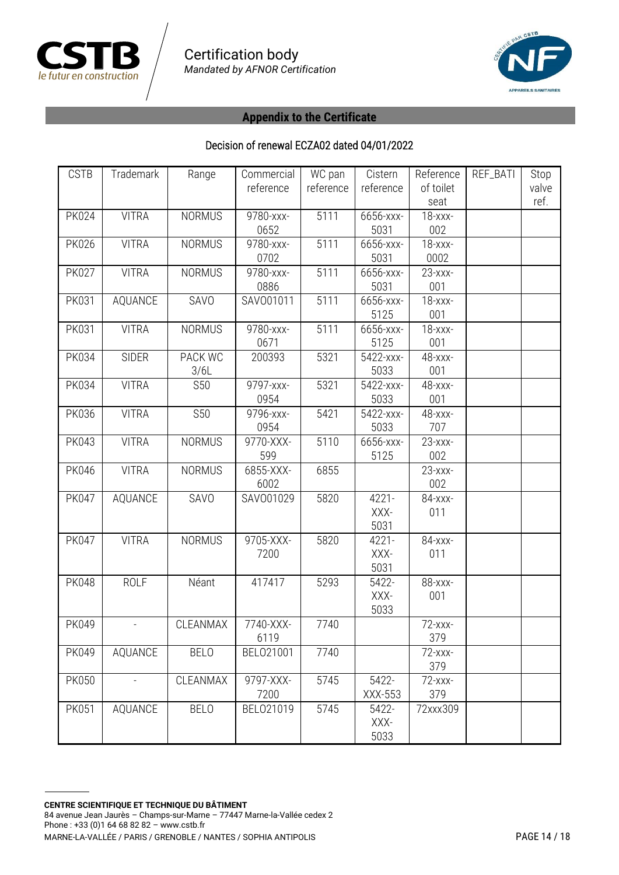



| <b>CSTB</b>  | Trademark      | Range         | Commercial | WC pan    | Cistern   | Reference    | REF_BATI | Stop  |
|--------------|----------------|---------------|------------|-----------|-----------|--------------|----------|-------|
|              |                |               | reference  | reference | reference | of toilet    |          | valve |
|              |                |               |            |           |           | seat         |          | ref.  |
| <b>PK024</b> | <b>VITRA</b>   | <b>NORMUS</b> | 9780-xxx-  | 5111      | 6656-xxx- | $18  xx -$   |          |       |
|              |                |               | 0652       |           | 5031      | 002          |          |       |
| <b>PK026</b> | <b>VITRA</b>   | <b>NORMUS</b> | 9780-xxx-  | 5111      | 6656-xxx- | $18  xx -$   |          |       |
|              |                |               | 0702       |           | 5031      | 0002         |          |       |
| <b>PK027</b> | <b>VITRA</b>   | <b>NORMUS</b> | 9780-xxx-  | 5111      | 6656-xxx- | $23  xx -$   |          |       |
|              |                |               | 0886       |           | 5031      | 001          |          |       |
| <b>PK031</b> | AQUANCE        | SAVO          | SAV001011  | 5111      | 6656-xxx- | $18  xx -$   |          |       |
|              |                |               |            |           | 5125      | 001          |          |       |
| <b>PK031</b> | <b>VITRA</b>   | <b>NORMUS</b> | 9780-xxx-  | 5111      | 6656-xxx- | $18 - XXX -$ |          |       |
|              |                |               | 0671       |           | 5125      | 001          |          |       |
| <b>PK034</b> | <b>SIDER</b>   | PACK WC       | 200393     | 5321      | 5422-xxx- | 48-xxx-      |          |       |
|              |                | 3/6L          |            |           | 5033      | 001          |          |       |
| <b>PK034</b> | <b>VITRA</b>   | <b>S50</b>    | 9797-xxx-  | 5321      | 5422-xxx- | 48-xxx-      |          |       |
|              |                |               | 0954       |           | 5033      | 001          |          |       |
| <b>PK036</b> | <b>VITRA</b>   | <b>S50</b>    | 9796-xxx-  | 5421      | 5422-xxx- | 48-xxx-      |          |       |
|              |                |               | 0954       |           | 5033      | 707          |          |       |
| <b>PK043</b> | <b>VITRA</b>   | <b>NORMUS</b> | 9770-XXX-  | 5110      | 6656-xxx- | $23  xx -$   |          |       |
|              |                |               | 599        |           | 5125      | 002          |          |       |
| <b>PK046</b> | <b>VITRA</b>   | <b>NORMUS</b> | 6855-XXX-  | 6855      |           | $23 - xxx -$ |          |       |
|              |                |               | 6002       |           |           | 002          |          |       |
| <b>PK047</b> | AQUANCE        | SAVO          | SAV001029  | 5820      | 4221-     | 84-xxx-      |          |       |
|              |                |               |            |           | XXX-      | 011          |          |       |
|              |                |               |            |           | 5031      |              |          |       |
| <b>PK047</b> | <b>VITRA</b>   | <b>NORMUS</b> | 9705-XXX-  | 5820      | 4221-     | 84-xxx-      |          |       |
|              |                |               | 7200       |           | XXX-      | 011          |          |       |
|              |                |               |            |           | 5031      |              |          |       |
| <b>PK048</b> | <b>ROLF</b>    | Néant         | 417417     | 5293      | 5422-     | 88-xxx-      |          |       |
|              |                |               |            |           | XXX-      | 001          |          |       |
|              |                |               |            |           | 5033      |              |          |       |
| PK049        | $\blacksquare$ | CLEANMAX      | 7740-XXX-  | 7740      |           | 72-xxx-      |          |       |
|              |                |               | 6119       |           |           | 379          |          |       |
| PK049        | AQUANCE        | <b>BELO</b>   | BEL021001  | 7740      |           | $72  xx -$   |          |       |
|              |                |               |            |           |           | 379          |          |       |
| <b>PK050</b> |                | CLEANMAX      | 9797-XXX-  | 5745      | 5422-     | $72  xx -$   |          |       |
|              |                |               | 7200       |           | XXX-553   | 379          |          |       |
| <b>PK051</b> | AQUANCE        | <b>BELO</b>   | BEL021019  | 5745      | 5422-     | 72xxx309     |          |       |
|              |                |               |            |           | XXX-      |              |          |       |
|              |                |               |            |           | 5033      |              |          |       |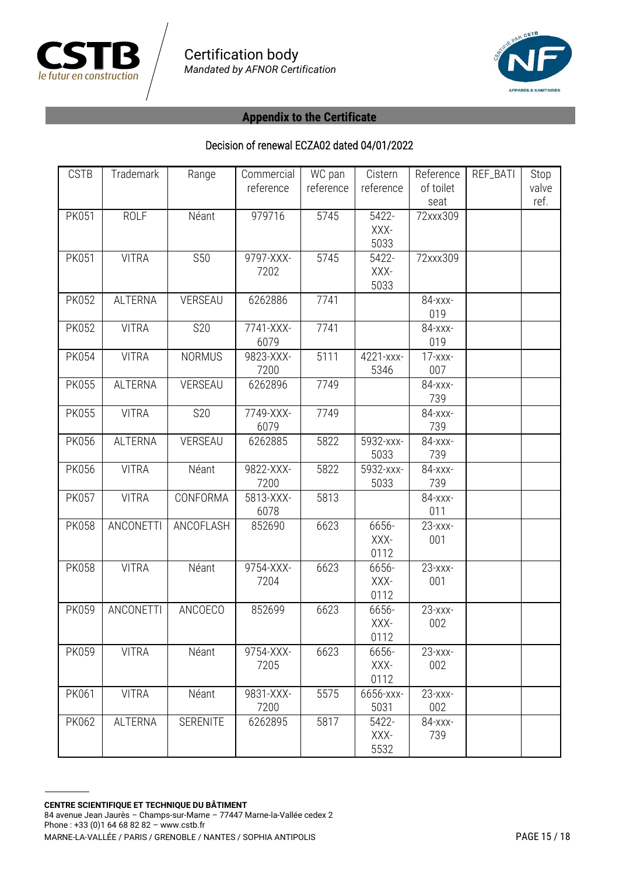



| <b>CSTB</b>  | Trademark      | Range           | Commercial<br>reference | WC pan<br>reference | Cistern<br>reference  | Reference<br>of toilet<br>seat | REF_BATI | Stop<br>valve<br>ref. |
|--------------|----------------|-----------------|-------------------------|---------------------|-----------------------|--------------------------------|----------|-----------------------|
| <b>PK051</b> | <b>ROLF</b>    | Néant           | 979716                  | 5745                | 5422-<br>XXX-<br>5033 | 72xxx309                       |          |                       |
| <b>PK051</b> | <b>VITRA</b>   | <b>S50</b>      | 9797-XXX-<br>7202       | 5745                | 5422-<br>XXX-<br>5033 | 72xxx309                       |          |                       |
| <b>PK052</b> | <b>ALTERNA</b> | VERSEAU         | 6262886                 | 7741                |                       | 84-xxx-<br>019                 |          |                       |
| <b>PK052</b> | <b>VITRA</b>   | S20             | 7741-XXX-<br>6079       | 7741                |                       | 84-xxx-<br>019                 |          |                       |
| <b>PK054</b> | <b>VITRA</b>   | <b>NORMUS</b>   | 9823-XXX-<br>7200       | 5111                | 4221-xxx-<br>5346     | $17 - xxx -$<br>007            |          |                       |
| <b>PK055</b> | <b>ALTERNA</b> | VERSEAU         | 6262896                 | 7749                |                       | 84-xxx-<br>739                 |          |                       |
| <b>PK055</b> | <b>VITRA</b>   | <b>S20</b>      | 7749-XXX-<br>6079       | 7749                |                       | 84-xxx-<br>739                 |          |                       |
| <b>PK056</b> | <b>ALTERNA</b> | VERSEAU         | 6262885                 | 5822                | 5932-xxx-<br>5033     | 84-xxx-<br>739                 |          |                       |
| <b>PK056</b> | <b>VITRA</b>   | Néant           | 9822-XXX-<br>7200       | 5822                | 5932-xxx-<br>5033     | 84-xxx-<br>739                 |          |                       |
| <b>PK057</b> | <b>VITRA</b>   | CONFORMA        | 5813-XXX-<br>6078       | 5813                |                       | 84-xxx-<br>011                 |          |                       |
| <b>PK058</b> | ANCONETTI      | ANCOFLASH       | 852690                  | 6623                | 6656-<br>XXX-<br>0112 | $23  xx -$<br>001              |          |                       |
| <b>PK058</b> | <b>VITRA</b>   | Néant           | 9754-XXX-<br>7204       | 6623                | 6656-<br>XXX-<br>0112 | $23  xx -$<br>001              |          |                       |
| <b>PK059</b> | ANCONETTI      | ANCOECO         | 852699                  | 6623                | 6656-<br>XXX-<br>0112 | $23 - xxx -$<br>002            |          |                       |
| <b>PK059</b> | <b>VITRA</b>   | Néant           | 9754-XXX-<br>7205       | 6623                | 6656-<br>XXX-<br>0112 | $23 - XXX -$<br>002            |          |                       |
| PK061        | <b>VITRA</b>   | Néant           | 9831-XXX-<br>7200       | 5575                | 6656-xxx-<br>5031     | $23 - XXX -$<br>002            |          |                       |
| PK062        | <b>ALTERNA</b> | <b>SERENITE</b> | 6262895                 | 5817                | 5422-<br>XXX-<br>5532 | 84-xxx-<br>739                 |          |                       |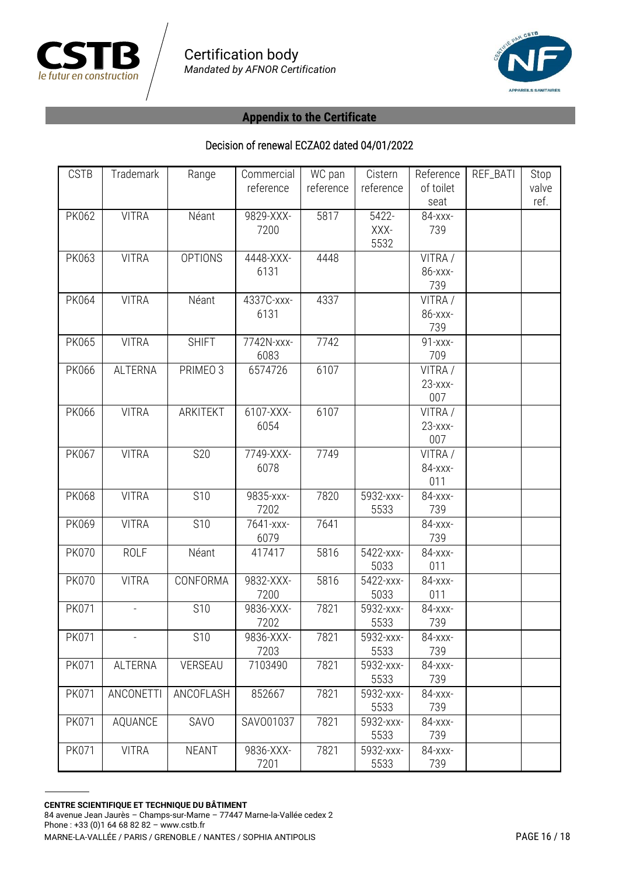



| <b>CSTB</b>  | Trademark      | Range           | Commercial<br>reference | WC pan<br>reference | Cistern<br>reference  | Reference<br>of toilet<br>seat | REF_BATI | Stop<br>valve<br>ref. |
|--------------|----------------|-----------------|-------------------------|---------------------|-----------------------|--------------------------------|----------|-----------------------|
| <b>PK062</b> | <b>VITRA</b>   | Néant           | 9829-XXX-<br>7200       | 5817                | 5422-<br>XXX-<br>5532 | 84-xxx-<br>739                 |          |                       |
| PK063        | <b>VITRA</b>   | <b>OPTIONS</b>  | 4448-XXX-<br>6131       | 4448                |                       | VITRA /<br>86-xxx-<br>739      |          |                       |
| <b>PK064</b> | <b>VITRA</b>   | Néant           | 4337C-xxx-<br>6131      | 4337                |                       | VITRA /<br>86-xxx-<br>739      |          |                       |
| <b>PK065</b> | <b>VITRA</b>   | <b>SHIFT</b>    | 7742N-xxx-<br>6083      | 7742                |                       | 91-xxx-<br>709                 |          |                       |
| <b>PK066</b> | <b>ALTERNA</b> | PRIMEO 3        | 6574726                 | 6107                |                       | VITRA /<br>$23  xx -$<br>007   |          |                       |
| <b>PK066</b> | <b>VITRA</b>   | <b>ARKITEKT</b> | $6107-XXX$<br>6054      | 6107                |                       | VITRA /<br>$23 - XXX -$<br>007 |          |                       |
| PK067        | <b>VITRA</b>   | <b>S20</b>      | 7749-XXX-<br>6078       | 7749                |                       | VITRA /<br>84-xxx-<br>011      |          |                       |
| <b>PK068</b> | <b>VITRA</b>   | <b>S10</b>      | 9835-xxx-<br>7202       | 7820                | 5932-xxx-<br>5533     | 84-xxx-<br>739                 |          |                       |
| PK069        | <b>VITRA</b>   | S10             | 7641-xxx-<br>6079       | 7641                |                       | 84-xxx-<br>739                 |          |                       |
| <b>PK070</b> | <b>ROLF</b>    | Néant           | 417417                  | 5816                | 5422-xxx-<br>5033     | 84-xxx-<br>011                 |          |                       |
| <b>PK070</b> | <b>VITRA</b>   | CONFORMA        | 9832-XXX-<br>7200       | 5816                | 5422-xxx-<br>5033     | 84-xxx-<br>011                 |          |                       |
| <b>PK071</b> |                | S10             | 9836-XXX-<br>7202       | 7821                | 5932-xxx-<br>5533     | 84-xxx-<br>739                 |          |                       |
| <b>PK071</b> |                | S <sub>10</sub> | 9836-XXX-<br>7203       | 7821                | 5932-xxx-<br>5533     | 84-xxx-<br>739                 |          |                       |
| PK071        | ALTERNA        | VERSEAU         | 7103490                 | 7821                | 5932-xxx-<br>5533     | 84-xxx-<br>739                 |          |                       |
| <b>PK071</b> | ANCONETTI      | ANCOFLASH       | 852667                  | 7821                | 5932-xxx-<br>5533     | 84-xxx-<br>739                 |          |                       |
| <b>PK071</b> | AQUANCE        | SAVO            | SAV001037               | 7821                | 5932-xxx-<br>5533     | 84-xxx-<br>739                 |          |                       |
| PK071        | <b>VITRA</b>   | <b>NEANT</b>    | 9836-XXX-<br>7201       | 7821                | 5932-xxx-<br>5533     | 84-xxx-<br>739                 |          |                       |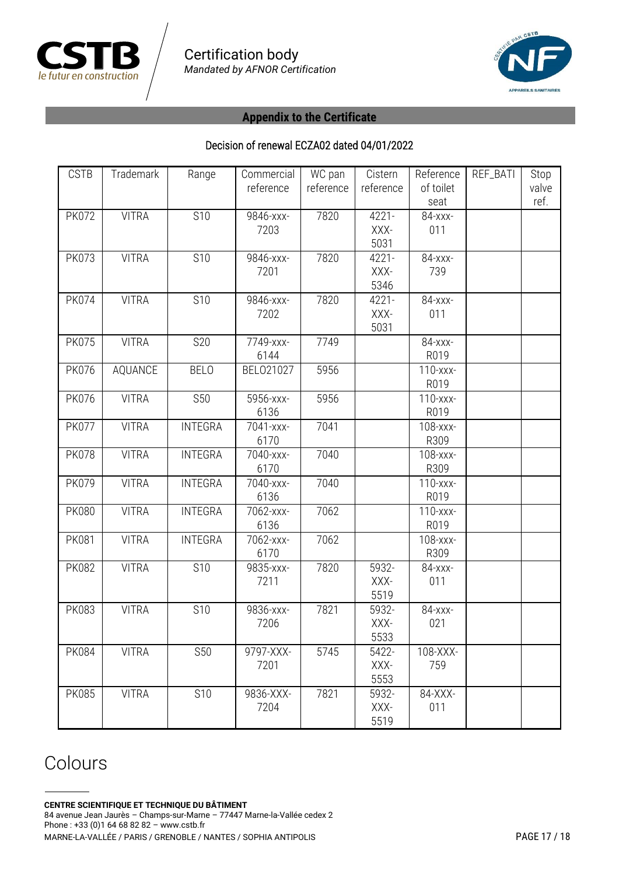



#### Decision of renewal ECZA02 dated 04/01/2022

| <b>CSTB</b>  | Trademark    | Range           | Commercial | WC pan    | Cistern   | Reference     | REF_BATI | Stop  |
|--------------|--------------|-----------------|------------|-----------|-----------|---------------|----------|-------|
|              |              |                 | reference  | reference | reference | of toilet     |          | valve |
|              |              |                 |            |           |           | seat          |          | ref.  |
| <b>PK072</b> | <b>VITRA</b> | S <sub>10</sub> | 9846-xxx-  | 7820      | $4221 -$  | 84-xxx-       |          |       |
|              |              |                 | 7203       |           | XXX-      | 011           |          |       |
|              |              |                 |            |           | 5031      |               |          |       |
| <b>PK073</b> | <b>VITRA</b> | <b>S10</b>      | 9846-xxx-  | 7820      | 4221-     | 84-xxx-       |          |       |
|              |              |                 | 7201       |           | XXX-      | 739           |          |       |
|              |              |                 |            |           | 5346      |               |          |       |
| <b>PK074</b> | <b>VITRA</b> | <b>S10</b>      | 9846-xxx-  | 7820      | 4221-     | 84-xxx-       |          |       |
|              |              |                 | 7202       |           | XXX-      | 011           |          |       |
|              |              |                 |            |           | 5031      |               |          |       |
| <b>PK075</b> | <b>VITRA</b> | <b>S20</b>      | 7749-xxx-  | 7749      |           | 84-xxx-       |          |       |
|              |              |                 | 6144       |           |           | R019          |          |       |
| <b>PK076</b> | AQUANCE      | <b>BELO</b>     | BEL021027  | 5956      |           | 110-xxx-      |          |       |
|              |              |                 |            |           |           | R019          |          |       |
| <b>PK076</b> | <b>VITRA</b> | <b>S50</b>      | 5956-xxx-  | 5956      |           | 110-xxx-      |          |       |
|              |              |                 | 6136       |           |           | R019          |          |       |
| <b>PK077</b> | <b>VITRA</b> | <b>INTEGRA</b>  | 7041-xxx-  | 7041      |           | 108-xxx-      |          |       |
|              |              |                 | 6170       |           |           | R309          |          |       |
| <b>PK078</b> | <b>VITRA</b> | <b>INTEGRA</b>  | 7040-xxx-  | 7040      |           | 108-xxx-      |          |       |
|              |              |                 | 6170       |           |           | R309          |          |       |
| <b>PK079</b> | <b>VITRA</b> | <b>INTEGRA</b>  | 7040-xxx-  | 7040      |           | 110-xxx-      |          |       |
|              |              |                 | 6136       |           |           | R019          |          |       |
| <b>PK080</b> | <b>VITRA</b> | <b>INTEGRA</b>  | 7062-xxx-  | 7062      |           | $110 - XXX -$ |          |       |
|              |              |                 | 6136       |           |           | R019          |          |       |
| <b>PK081</b> | <b>VITRA</b> | <b>INTEGRA</b>  | 7062-xxx-  | 7062      |           | 108-xxx-      |          |       |
|              |              |                 | 6170       |           |           | R309          |          |       |
| <b>PK082</b> | <b>VITRA</b> | <b>S10</b>      | 9835-xxx-  | 7820      | 5932-     | 84-xxx-       |          |       |
|              |              |                 | 7211       |           | XXX-      | 011           |          |       |
|              |              |                 |            |           | 5519      |               |          |       |
| <b>PK083</b> | <b>VITRA</b> | S10             | 9836-xxx-  | 7821      | 5932-     | 84-xxx-       |          |       |
|              |              |                 | 7206       |           | XXX-      | 021           |          |       |
|              |              |                 |            |           | 5533      |               |          |       |
| <b>PK084</b> | <b>VITRA</b> | <b>S50</b>      | 9797-XXX-  | 5745      | 5422-     | 108-XXX-      |          |       |
|              |              |                 | 7201       |           | XXX-      | 759           |          |       |
|              |              |                 |            |           | 5553      |               |          |       |
| <b>PK085</b> | <b>VITRA</b> | S10             | 9836-XXX-  | 7821      | 5932-     | 84-XXX-       |          |       |
|              |              |                 | 7204       |           | XXX-      | 011           |          |       |
|              |              |                 |            |           | 5519      |               |          |       |

# Colours